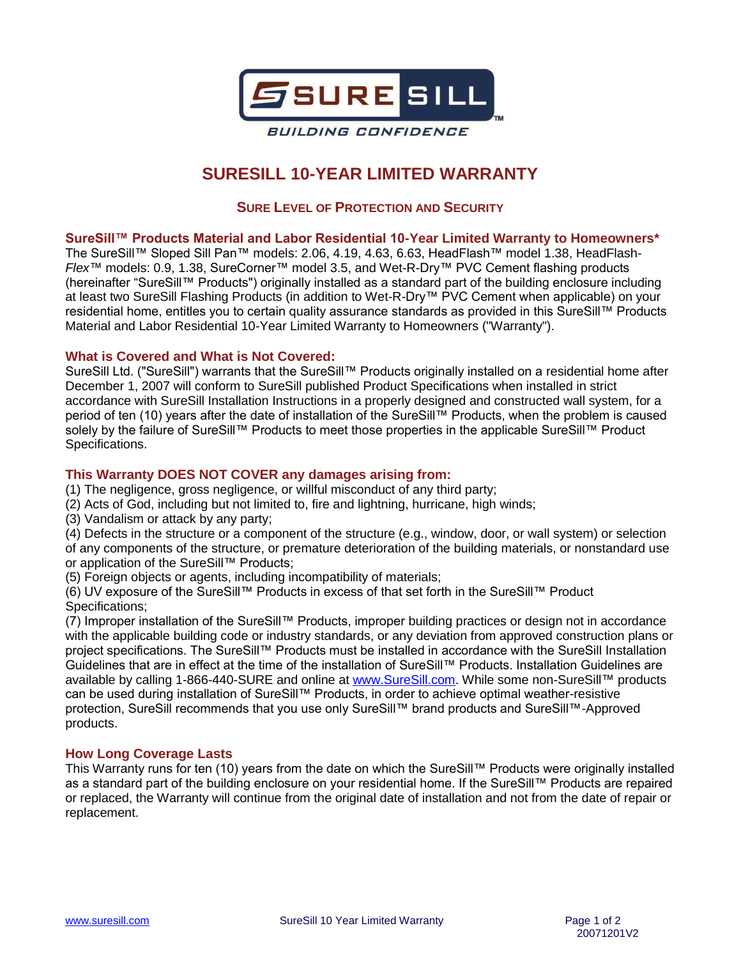

# **SURESILL 10-YEAR LIMITED WARRANTY**

# **SURE LEVEL OF PROTECTION AND SECURITY**

#### **SureSill™ Products Material and Labor Residential 10-Year Limited Warranty to Homeowners\***

The SureSill™ Sloped Sill Pan™ models: 2.06, 4.19, 4.63, 6.63, HeadFlash™ model 1.38, HeadFlash-*Flex*™ models: 0.9, 1.38, SureCorner™ model 3.5, and Wet-R-Dry™ PVC Cement flashing products (hereinafter "SureSill™ Products") originally installed as a standard part of the building enclosure including at least two SureSill Flashing Products (in addition to Wet-R-Dry™ PVC Cement when applicable) on your residential home, entitles you to certain quality assurance standards as provided in this SureSill™ Products Material and Labor Residential 10-Year Limited Warranty to Homeowners ("Warranty").

# **What is Covered and What is Not Covered:**

SureSill Ltd. ("SureSill") warrants that the SureSill™ Products originally installed on a residential home after December 1, 2007 will conform to SureSill published Product Specifications when installed in strict accordance with SureSill Installation Instructions in a properly designed and constructed wall system, for a period of ten (10) years after the date of installation of the SureSill™ Products, when the problem is caused solely by the failure of SureSill™ Products to meet those properties in the applicable SureSill™ Product Specifications.

# **This Warranty DOES NOT COVER any damages arising from:**

- (1) The negligence, gross negligence, or willful misconduct of any third party;
- (2) Acts of God, including but not limited to, fire and lightning, hurricane, high winds;
- (3) Vandalism or attack by any party;

(4) Defects in the structure or a component of the structure (e.g., window, door, or wall system) or selection of any components of the structure, or premature deterioration of the building materials, or nonstandard use or application of the SureSill™ Products;

(5) Foreign objects or agents, including incompatibility of materials;

(6) UV exposure of the SureSill™ Products in excess of that set forth in the SureSill™ Product Specifications;

(7) Improper installation of the SureSill™ Products, improper building practices or design not in accordance with the applicable building code or industry standards, or any deviation from approved construction plans or project specifications. The SureSill™ Products must be installed in accordance with the SureSill Installation Guidelines that are in effect at the time of the installation of SureSill™ Products. Installation Guidelines are available by calling 1-866-440-SURE and online at [www.SureSill.com.](http://www.suresill.com/) While some non-SureSill™ products can be used during installation of SureSill™ Products, in order to achieve optimal weather-resistive protection, SureSill recommends that you use only SureSill™ brand products and SureSill™-Approved products.

#### **How Long Coverage Lasts**

This Warranty runs for ten (10) years from the date on which the SureSill™ Products were originally installed as a standard part of the building enclosure on your residential home. If the SureSill™ Products are repaired or replaced, the Warranty will continue from the original date of installation and not from the date of repair or replacement.